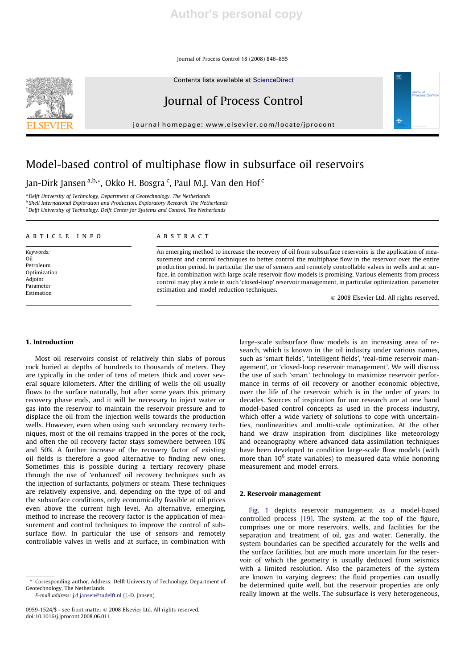Journal of Process Control 18 (2008) 846–855

Contents lists available at ScienceDirect





journal homepage: www.elsevier.com/locate/jprocont

# Model-based control of multiphase flow in subsurface oil reservoirs

Jan-Dirk Jansen <sup>a,b,</sup>\*, Okko H. Bosgra <sup>c</sup>, Paul M.J. Van den Hof <sup>c</sup>

<sup>a</sup> Delft University of Technology, Department of Geotechnology, The Netherlands

**b** Shell International Exploration and Production, Exploratory Research, The Netherlands

<sup>c</sup> Delft University of Technology, Delft Center for Systems and Control, The Netherlands

# article info

Keywords: Oil Petroleum Optimization Adjoint Parameter Estimation

## **ABSTRACT**

An emerging method to increase the recovery of oil from subsurface reservoirs is the application of measurement and control techniques to better control the multiphase flow in the reservoir over the entire production period. In particular the use of sensors and remotely controllable valves in wells and at surface, in combination with large-scale reservoir flow models is promising. Various elements from process control may play a role in such 'closed-loop' reservoir management, in particular optimization, parameter estimation and model reduction techniques.

- 2008 Elsevier Ltd. All rights reserved.

**Journal of**<br>Process Contra

 $\overline{\sigma}$ 

# 1. Introduction

Most oil reservoirs consist of relatively thin slabs of porous rock buried at depths of hundreds to thousands of meters. They are typically in the order of tens of meters thick and cover several square kilometers. After the drilling of wells the oil usually flows to the surface naturally, but after some years this primary recovery phase ends, and it will be necessary to inject water or gas into the reservoir to maintain the reservoir pressure and to displace the oil from the injection wells towards the production wells. However, even when using such secondary recovery techniques, most of the oil remains trapped in the pores of the rock, and often the oil recovery factor stays somewhere between 10% and 50%. A further increase of the recovery factor of existing oil fields is therefore a good alternative to finding new ones. Sometimes this is possible during a tertiary recovery phase through the use of 'enhanced' oil recovery techniques such as the injection of surfactants, polymers or steam. These techniques are relatively expensive, and, depending on the type of oil and the subsurface conditions, only economically feasible at oil prices even above the current high level. An alternative, emerging, method to increase the recovery factor is the application of measurement and control techniques to improve the control of subsurface flow. In particular the use of sensors and remotely controllable valves in wells and at surface, in combination with

\* Corresponding author. Address: Delft University of Technology, Department of Geotechnology, The Netherlands.

E-mail address: j.d.jansen@tudelft.nl (J.-D. Jansen).

0959-1524/\$ - see front matter © 2008 Elsevier Ltd. All rights reserved. doi:10.1016/j.jprocont.2008.06.011

large-scale subsurface flow models is an increasing area of research, which is known in the oil industry under various names, such as 'smart fields', 'intelligent fields', 'real-time reservoir management', or 'closed-loop reservoir management'. We will discuss the use of such 'smart' technology to maximize reservoir performance in terms of oil recovery or another economic objective, over the life of the reservoir which is in the order of years to decades. Sources of inspiration for our research are at one hand model-based control concepts as used in the process industry, which offer a wide variety of solutions to cope with uncertainties, nonlinearities and multi-scale optimization. At the other hand we draw inspiration from disciplines like meteorology and oceanography where advanced data assimilation techniques have been developed to condition large-scale flow models (with more than  $10^6$  state variables) to measured data while honoring measurement and model errors.

# 2. Reservoir management

Fig. 1 depicts reservoir management as a model-based controlled process [19]. The system, at the top of the figure, comprises one or more reservoirs, wells, and facilities for the separation and treatment of oil, gas and water. Generally, the system boundaries can be specified accurately for the wells and the surface facilities, but are much more uncertain for the reservoir of which the geometry is usually deduced from seismics with a limited resolution. Also the parameters of the system are known to varying degrees: the fluid properties can usually be determined quite well, but the reservoir properties are only really known at the wells. The subsurface is very heterogeneous,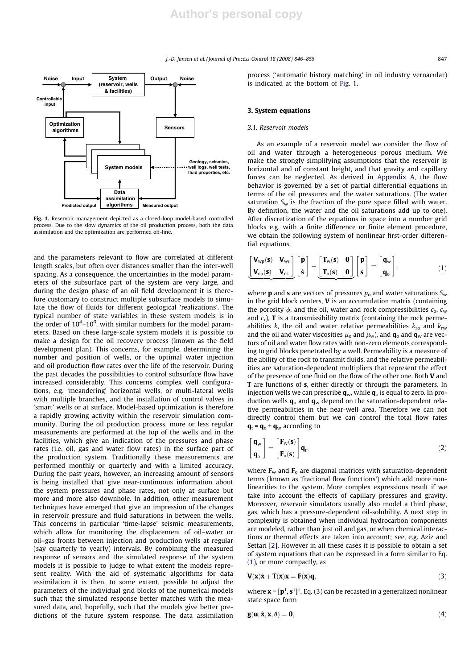J.-D. Jansen et al. / Journal of Process Control 18 (2008) 846–855 847



Fig. 1. Reservoir management depicted as a closed-loop model-based controlled process. Due to the slow dynamics of the oil production process, both the data assimilation and the optimization are performed off-line.

and the parameters relevant to flow are correlated at different length scales, but often over distances smaller than the inter-well spacing. As a consequence, the uncertainties in the model parameters of the subsurface part of the system are very large, and during the design phase of an oil field development it is therefore customary to construct multiple subsurface models to simulate the flow of fluids for different geological 'realizations'. The typical number of state variables in these system models is in the order of  $10^4$ – $10^6$ , with similar numbers for the model parameters. Based on these large-scale system models it is possible to make a design for the oil recovery process (known as the field development plan). This concerns, for example, determining the number and position of wells, or the optimal water injection and oil production flow rates over the life of the reservoir. During the past decades the possibilities to control subsurface flow have increased considerably. This concerns complex well configurations, e.g. 'meandering' horizontal wells, or multi-lateral wells with multiple branches, and the installation of control valves in 'smart' wells or at surface. Model-based optimization is therefore a rapidly growing activity within the reservoir simulation community. During the oil production process, more or less regular measurements are performed at the top of the wells and in the facilities, which give an indication of the pressures and phase rates (i.e. oil, gas and water flow rates) in the surface part of the production system. Traditionally these measurements are performed monthly or quarterly and with a limited accuracy. During the past years, however, an increasing amount of sensors is being installed that give near-continuous information about the system pressures and phase rates, not only at surface but more and more also downhole. In addition, other measurement techniques have emerged that give an impression of the changes in reservoir pressure and fluid saturations in between the wells. This concerns in particular 'time-lapse' seismic measurements, which allow for monitoring the displacement of oil–water or oil–gas fronts between injection and production wells at regular (say quarterly to yearly) intervals. By combining the measured response of sensors and the simulated response of the system models it is possible to judge to what extent the models represent reality. With the aid of systematic algorithms for data assimilation it is then, to some extent, possible to adjust the parameters of the individual grid blocks of the numerical models such that the simulated response better matches with the measured data, and, hopefully, such that the models give better predictions of the future system response. The data assimilation process ('automatic history matching' in oil industry vernacular) is indicated at the bottom of Fig. 1.

## 3. System equations

## 3.1. Reservoir models

As an example of a reservoir model we consider the flow of oil and water through a heterogeneous porous medium. We make the strongly simplifying assumptions that the reservoir is horizontal and of constant height, and that gravity and capillary forces can be neglected. As derived in Appendix A, the flow behavior is governed by a set of partial differential equations in terms of the oil pressures and the water saturations. (The water saturation  $S_w$  is the fraction of the pore space filled with water. By definition, the water and the oil saturations add up to one). After discretization of the equations in space into a number grid blocks e.g. with a finite difference or finite element procedure, we obtain the following system of nonlinear first-order differential equations,

$$
\left[\begin{matrix}\mathbf{V}_{\text{wp}}(\mathbf{s}) & \mathbf{V}_{\text{ws}} \\ \mathbf{V}_{\text{op}}(\mathbf{s}) & \mathbf{V}_{\text{os}}\end{matrix}\right] \left[\begin{matrix}\dot{\mathbf{p}} \\ \dot{\mathbf{s}}\end{matrix}\right] + \left[\begin{matrix}\mathbf{T}_{\text{w}}(\mathbf{s}) & \mathbf{0} \\ \mathbf{T}_{\text{o}}(\mathbf{s}) & \mathbf{0}\end{matrix}\right] \left[\begin{matrix}\mathbf{p} \\ \mathbf{s}\end{matrix}\right] = \left[\begin{matrix}\mathbf{q}_{\text{w}} \\ \mathbf{q}_{\text{o}}\end{matrix}\right],\tag{1}
$$

where **p** and **s** are vectors of pressures  $p_0$  and water saturations  $S_w$ in the grid block centers,  $V$  is an accumulation matrix (containing the porosity  $\phi$ , and the oil, water and rock compressibilities  $c_0$ ,  $c_w$ and  $c_r$ ), **T** is a transmissibility matrix (containing the rock permeabilities k, the oil and water relative permeabilities  $k_{\text{ro}}$  and  $k_{\text{rw}}$ and the oil and water viscosities  $\mu_0$  and  $\mu_w$ ), and  $\mathbf{q}_o$  and  $\mathbf{q}_w$  are vectors of oil and water flow rates with non-zero elements corresponding to grid blocks penetrated by a well. Permeability is a measure of the ability of the rock to transmit fluids, and the relative permeabilities are saturation-dependent multipliers that represent the effect of the presence of one fluid on the flow of the other one. Both V and T are functions of s, either directly or through the parameters. In injection wells we can prescribe  $\mathbf{q}_w$ , while  $\mathbf{q}_o$  is equal to zero. In production wells  $\mathbf{q}_0$  and  $\mathbf{q}_w$  depend on the saturation-dependent relative permeabilities in the near-well area. Therefore we can not directly control them but we can control the total flow rates  $\mathbf{q}_t = \mathbf{q}_0 + \mathbf{q}_w$  according to

$$
\begin{bmatrix} \mathbf{q}_{w} \\ \mathbf{q}_{o} \end{bmatrix} = \begin{bmatrix} \mathbf{F}_{w}(\mathbf{s}) \\ \mathbf{F}_{o}(\mathbf{s}) \end{bmatrix} \mathbf{q}_{t},
$$
\n(2)

where  $\mathbf{F}_{w}$  and  $\mathbf{F}_{o}$  are diagonal matrices with saturation-dependent terms (known as 'fractional flow functions') which add more nonlinearities to the system. More complex expressions result if we take into account the effects of capillary pressures and gravity. Moreover, reservoir simulators usually also model a third phase, gas, which has a pressure-dependent oil-solubility. A next step in complexity is obtained when individual hydrocarbon components are modeled, rather than just oil and gas, or when chemical interactions or thermal effects are taken into account; see, e.g. Aziz and Settari [2]. However in all these cases it is possible to obtain a set of system equations that can be expressed in a form similar to Eq. (1), or more compactly, as

$$
\mathbf{V}(\mathbf{x})\dot{\mathbf{x}} + \mathbf{T}(\mathbf{x})\mathbf{x} = \mathbf{F}(\mathbf{x})\mathbf{q},\tag{3}
$$

where  $\mathbf{x} = [\mathbf{p}^{\mathrm{T}}, \mathbf{s}^{\mathrm{T}}]^{\mathrm{T}}$ . Eq. (3) can be recasted in a generalized nonlinear state space form

$$
\mathbf{g}(\mathbf{u}, \dot{\mathbf{x}}, \mathbf{x}, \theta) = \mathbf{0},\tag{4}
$$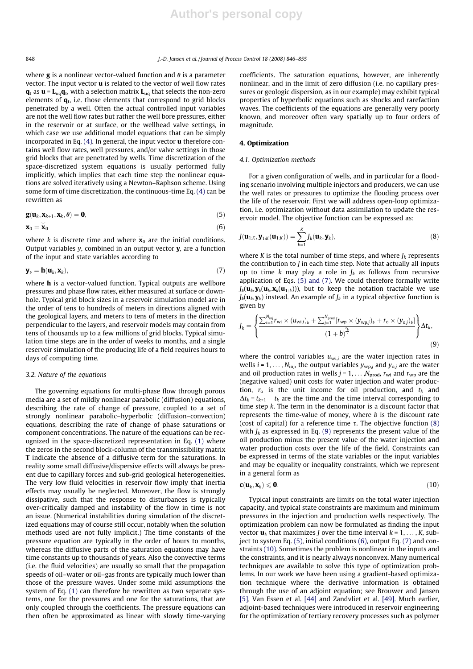where  $g$  is a nonlinear vector-valued function and  $\theta$  is a parameter vector. The input vector  $\mathbf u$  is related to the vector of well flow rates  $\mathbf{q}_t$  as  $\mathbf{u} = \mathbf{L}_{uq} \mathbf{q}_t$ , with a selection matrix  $\mathbf{L}_{uq}$  that selects the non-zero elements of  $q_t$ , i.e. those elements that correspond to grid blocks penetrated by a well. Often the actual controlled input variables are not the well flow rates but rather the well bore pressures, either in the reservoir or at surface, or the wellhead valve settings, in which case we use additional model equations that can be simply incorporated in Eq.  $(4)$ . In general, the input vector **u** therefore contains well flow rates, well pressures, and/or valve settings in those grid blocks that are penetrated by wells. Time discretization of the space-discretized system equations is usually performed fully implicitly, which implies that each time step the nonlinear equations are solved iteratively using a Newton–Raphson scheme. Using some form of time discretization, the continuous-time Eq. (4) can be rewritten as

$$
\mathbf{g}(\mathbf{u}_k, \mathbf{x}_{k+1}, \mathbf{x}_k, \theta) = \mathbf{0},\tag{5}
$$

$$
\mathbf{x}_0 = \breve{\mathbf{x}}_0 \tag{6}
$$

where k is discrete time and where  $\breve{\mathbf{x}}_0$  are the initial conditions. Output variables  $y$ , combined in an output vector  $y$ , are a function of the input and state variables according to

$$
\mathbf{y}_k = \mathbf{h}(\mathbf{u}_k, \mathbf{x}_k),\tag{7}
$$

where **h** is a vector-valued function. Typical outputs are wellbore pressures and phase flow rates, either measured at surface or downhole. Typical grid block sizes in a reservoir simulation model are in the order of tens to hundreds of meters in directions aligned with the geological layers, and meters to tens of meters in the direction perpendicular to the layers, and reservoir models may contain from tens of thousands up to a few millions of grid blocks. Typical simulation time steps are in the order of weeks to months, and a single reservoir simulation of the producing life of a field requires hours to days of computing time.

## 3.2. Nature of the equations

The governing equations for multi-phase flow through porous media are a set of mildly nonlinear parabolic (diffusion) equations, describing the rate of change of pressure, coupled to a set of strongly nonlinear parabolic–hyperbolic (diffusion–convection) equations, describing the rate of change of phase saturations or component concentrations. The nature of the equations can be recognized in the space-discretized representation in Eq. (1) where the zeros in the second block-column of the transmissibility matrix T indicate the absence of a diffusive term for the saturations. In reality some small diffusive/dispersive effects will always be present due to capillary forces and sub-grid geological heterogeneities. The very low fluid velocities in reservoir flow imply that inertia effects may usually be neglected. Moreover, the flow is strongly dissipative, such that the response to disturbances is typically over-critically damped and instability of the flow in time is not an issue. (Numerical instabilities during simulation of the discretized equations may of course still occur, notably when the solution methods used are not fully implicit.) The time constants of the pressure equation are typically in the order of hours to months, whereas the diffusive parts of the saturation equations may have time constants up to thousands of years. Also the convective terms (i.e. the fluid velocities) are usually so small that the propagation speeds of oil–water or oil–gas fronts are typically much lower than those of the pressure waves. Under some mild assumptions the system of Eq. (1) can therefore be rewritten as two separate systems, one for the pressures and one for the saturations, that are only coupled through the coefficients. The pressure equations can then often be approximated as linear with slowly time-varying coefficients. The saturation equations, however, are inherently nonlinear, and in the limit of zero diffusion (i.e. no capillary pressures or geologic dispersion, as in our example) may exhibit typical properties of hyperbolic equations such as shocks and rarefaction waves. The coefficients of the equations are generally very poorly known, and moreover often vary spatially up to four orders of magnitude.

# 4. Optimization

## 4.1. Optimization methods

For a given configuration of wells, and in particular for a flooding scenario involving multiple injectors and producers, we can use the well rates or pressures to optimize the flooding process over the life of the reservoir. First we will address open-loop optimization, i.e. optimization without data assimilation to update the reservoir model. The objective function can be expressed as:

$$
J(\mathbf{u}_{1:K}, \mathbf{y}_{1:K}(\mathbf{u}_{1:K})) = \sum_{k=1}^{K} J_k(\mathbf{u}_k, \mathbf{y}_k),
$$
\n(8)

where K is the total number of time steps, and where  $J_k$  represents the contribution to  $J$  in each time step. Note that actually all inputs up to time  $k$  may play a role in  $J_k$  as follows from recursive application of Eqs. (5) and (7). We could therefore formally write  $J_k(\mathbf{u}_k,\mathbf{y}_k(\mathbf{u}_k,\mathbf{x}_k(\mathbf{u}_{1:k}))),$  but to keep the notation tractable we use  $J_k(\mathbf{u}_k,\mathbf{y}_k)$  instead. An example of  $J_k$  in a typical objective function is given by

$$
J_k = \left\{ \frac{\sum_{i=1}^{N_{\text{inj}}} r_{\text{wi}} \times (u_{\text{wi},i})_k + \sum_{j=1}^{N_{\text{prod}}} [r_{\text{wp}} \times (y_{\text{wp},j})_k + r_{\text{o}} \times (y_{\text{o},j})_k]}{(1+b)^{\frac{t_k}{\tau}}} \right\} \Delta t_k,
$$
\n(9)

where the control variables  $u_{\text{wi},i}$  are the water injection rates in wells  $i = 1, \ldots, N_{\text{ini}}$ , the output variables  $y_{\text{wp},j}$  and  $y_{\text{o},j}$  are the water and oil production rates in wells  $j = 1, \ldots, N_{\text{prod}}$ ,  $r_{\text{wi}}$  and  $r_{\text{wp}}$  are the (negative valued) unit costs for water injection and water production,  $r_0$  is the unit income for oil production, and  $t_k$  and  $\Delta t_k = t_{k+1} - t_k$  are the time and the time interval corresponding to time step k. The term in the denominator is a discount factor that represents the time-value of money, where  $b$  is the discount rate (cost of capital) for a reference time  $\tau$ . The objective function (8) with  $J_k$  as expressed in Eq. (9) represents the present value of the oil production minus the present value of the water injection and water production costs over the life of the field. Constraints can be expressed in terms of the state variables or the input variables and may be equality or inequality constraints, which we represent in a general form as

$$
\mathbf{C}(\mathbf{u}_k, \mathbf{x}_k) \leqslant \mathbf{0}.\tag{10}
$$

Typical input constraints are limits on the total water injection capacity, and typical state constraints are maximum and minimum pressures in the injection and production wells respectively. The optimization problem can now be formulated as finding the input vector  $\mathbf{u}_k$  that maximizes *J* over the time interval  $k = 1, \ldots, K$ , subject to system Eq. (5), initial conditions (6), output Eq. (7) and constraints (10). Sometimes the problem is nonlinear in the inputs and the constraints, and it is nearly always nonconvex. Many numerical techniques are available to solve this type of optimization problems. In our work we have been using a gradient-based optimization technique where the derivative information is obtained through the use of an adjoint equation; see Brouwer and Jansen [5], Van Essen et al. [44] and Zandvliet et al. [49]. Much earlier, adjoint-based techniques were introduced in reservoir engineering for the optimization of tertiary recovery processes such as polymer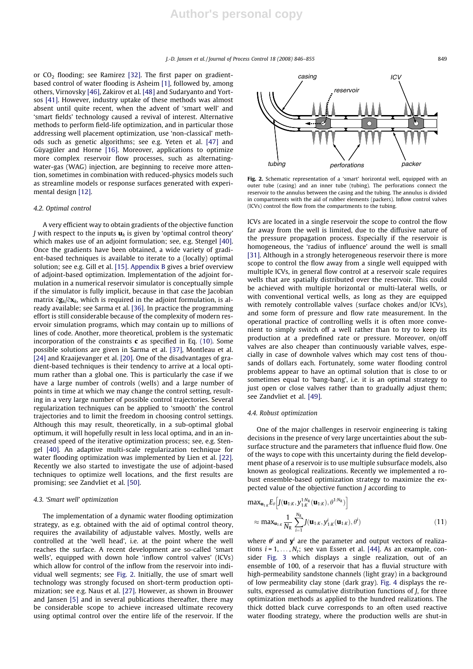or  $CO<sub>2</sub>$  flooding; see Ramirez [32]. The first paper on gradientbased control of water flooding is Asheim [1], followed by, among others, Virnovsky [46], Zakirov et al. [48] and Sudaryanto and Yortsos [41]. However, industry uptake of these methods was almost absent until quite recent, when the advent of 'smart well' and 'smart fields' technology caused a revival of interest. Alternative methods to perform field-life optimization, and in particular those addressing well placement optimization, use 'non-classical' methods such as genetic algorithms; see e.g. Yeten et al. [47] and Güyagüler and Horne [16]. Moreover, applications to optimize more complex reservoir flow processes, such as alternatingwater-gas (WAG) injection, are beginning to receive more attention, sometimes in combination with reduced-physics models such as streamline models or response surfaces generated with experimental design [12].

## 4.2. Optimal control

A very efficient way to obtain gradients of the objective function *J* with respect to the inputs  $\mathbf{u}_k$  is given by 'optimal control theory' which makes use of an adjoint formulation; see, e.g. Stengel [40]. Once the gradients have been obtained, a wide variety of gradient-based techniques is available to iterate to a (locally) optimal solution; see e.g. Gill et al. [15]. Appendix B gives a brief overview of adjoint-based optimization. Implementation of the adjoint formulation in a numerical reservoir simulator is conceptually simple if the simulator is fully implicit, because in that case the Jacobian matrix  $\partial \mathbf{g}_k / \partial \mathbf{x}_k$ , which is required in the adjoint formulation, is already available; see Sarma et al. [36]. In practice the programming effort is still considerable because of the complexity of modern reservoir simulation programs, which may contain up to millions of lines of code. Another, more theoretical, problem is the systematic incorporation of the constraints  **as specified in Eq. (10). Some** possible solutions are given in Sarma et al. [37], Montleau et al. [24] and Kraaijevanger et al. [20]. One of the disadvantages of gradient-based techniques is their tendency to arrive at a local optimum rather than a global one. This is particularly the case if we have a large number of controls (wells) and a large number of points in time at which we may change the control setting, resulting in a very large number of possible control trajectories. Several regularization techniques can be applied to 'smooth' the control trajectories and to limit the freedom in choosing control settings. Although this may result, theoretically, in a sub-optimal global optimum, it will hopefully result in less local optima, and in an increased speed of the iterative optimization process; see, e.g. Stengel [40]. An adaptive multi-scale regularization technique for water flooding optimization was implemented by Lien et al. [22]. Recently we also started to investigate the use of adjoint-based techniques to optimize well locations, and the first results are promising; see Zandvliet et al. [50].

# 4.3. 'Smart well' optimization

The implementation of a dynamic water flooding optimization strategy, as e.g. obtained with the aid of optimal control theory, requires the availability of adjustable valves. Mostly, wells are controlled at the 'well head', i.e. at the point where the well reaches the surface. A recent development are so-called 'smart wells', equipped with down hole 'inflow control valves' (ICVs) which allow for control of the inflow from the reservoir into individual well segments; see Fig. 2. Initially, the use of smart well technology was strongly focused on short-term production optimization; see e.g. Naus et al. [27]. However, as shown in Brouwer and Jansen [5] and in several publications thereafter, there may be considerable scope to achieve increased ultimate recovery using optimal control over the entire life of the reservoir. If the



Fig. 2. Schematic representation of a 'smart' horizontal well, equipped with an outer tube (casing) and an inner tube (tubing). The perforations connect the reservoir to the annulus between the casing and the tubing. The annulus is divided in compartments with the aid of rubber elements (packers). Inflow control valves (ICVs) control the flow from the compartments to the tubing.

ICVs are located in a single reservoir the scope to control the flow far away from the well is limited, due to the diffusive nature of the pressure propagation process. Especially if the reservoir is homogeneous, the 'radius of influence' around the well is small [31]. Although in a strongly heterogeneous reservoir there is more scope to control the flow away from a single well equipped with multiple ICVs, in general flow control at a reservoir scale requires wells that are spatially distributed over the reservoir. This could be achieved with multiple horizontal or multi-lateral wells, or with conventional vertical wells, as long as they are equipped with remotely controllable valves (surface chokes and/or ICVs), and some form of pressure and flow rate measurement. In the operational practice of controlling wells it is often more convenient to simply switch off a well rather than to try to keep its production at a predefined rate or pressure. Moreover, on/off valves are also cheaper than continuously variable valves, especially in case of downhole valves which may cost tens of thousands of dollars each. Fortunately, some water flooding control problems appear to have an optimal solution that is close to or sometimes equal to 'bang-bang', i.e. it is an optimal strategy to just open or close valves rather than to gradually adjust them; see Zandvliet et al. [49].

# 4.4. Robust optimization

One of the major challenges in reservoir engineering is taking decisions in the presence of very large uncertainties about the subsurface structure and the parameters that influence fluid flow. One of the ways to cope with this uncertainty during the field development phase of a reservoir is to use multiple subsurface models, also known as geological realizations. Recently we implemented a robust ensemble-based optimization strategy to maximize the expected value of the objective function J according to

$$
\begin{aligned}\n\max_{\mathbf{u}_{1:K}} E_{\theta} \left[ J(\mathbf{u}_{1:K}, \mathbf{y}_{1:K}^{1:N_{R}}(\mathbf{u}_{1:K}), \theta^{1:N_{R}}) \right] \\
\approx \max_{\mathbf{u}_{1:K}} \frac{1}{N_{R}} \sum_{i=1}^{N_{R}} J(\mathbf{u}_{1:K}, \mathbf{y}_{1:K}^{i}(\mathbf{u}_{1:K}), \theta^{i})\n\end{aligned} \tag{11}
$$

where  $\theta^i$  and  $y^i$  are the parameter and output vectors of realizations  $i = 1, \ldots, N_r$ ; see van Essen et al. [44]. As an example, consider Fig. 3 which displays a single realization, out of an ensemble of 100, of a reservoir that has a fluvial structure with high-permeability sandstone channels (light gray) in a background of low permeability clay stone (dark gray). Fig. 4 displays the results, expressed as cumulative distribution functions of *J*, for three optimization methods as applied to the hundred realizations. The thick dotted black curve corresponds to an often used reactive water flooding strategy, where the production wells are shut-in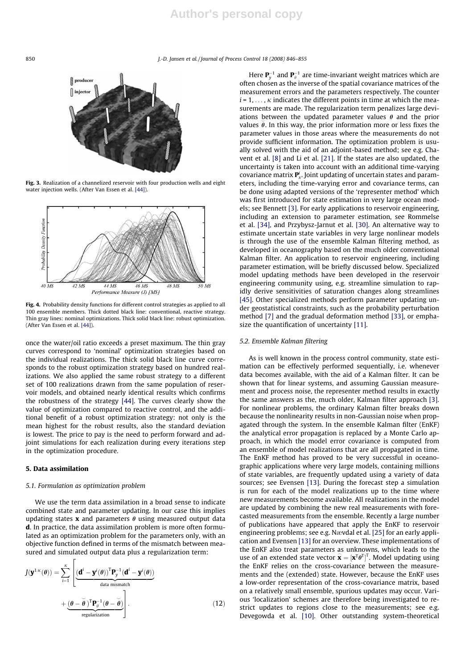850 J.-D. Jansen et al. / Journal of Process Control 18 (2008) 846–855



Fig. 3. Realization of a channelized reservoir with four production wells and eight water injection wells. (After Van Essen et al. [44]).



Fig. 4. Probability density functions for different control strategies as applied to all 100 ensemble members. Thick dotted black line: conventional, reactive strategy. Thin gray lines: nominal optimizations. Thick solid black line: robust optimization. (After Van Essen et al. [44]).

once the water/oil ratio exceeds a preset maximum. The thin gray curves correspond to 'nominal' optimization strategies based on the individual realizations. The thick solid black line curve corresponds to the robust optimization strategy based on hundred realizations. We also applied the same robust strategy to a different set of 100 realizations drawn from the same population of reservoir models, and obtained nearly identical results which confirms the robustness of the strategy [44]. The curves clearly show the value of optimization compared to reactive control, and the additional benefit of a robust optimization strategy: not only is the mean highest for the robust results, also the standard deviation is lowest. The price to pay is the need to perform forward and adjoint simulations for each realization during every iterations step in the optimization procedure.

# 5. Data assimilation

#### 5.1. Formulation as optimization problem

 $\Gamma$ 

We use the term data assimilation in a broad sense to indicate combined state and parameter updating. In our case this implies updating states **x** and parameters  $\theta$  using measured output data d. In practice, the data assimilation problem is more often formulated as an optimization problem for the parameters only, with an objective function defined in terms of the mismatch between measured and simulated output data plus a regularization term:

$$
J(\mathbf{y}^{1:\kappa}(\theta)) = \sum_{i=1}^{\kappa} \left[ \underbrace{(\mathbf{d}^i - \mathbf{y}^i(\theta))^{\mathrm{T}} \mathbf{P}_y^{-1} (\mathbf{d}^i - \mathbf{y}^i(\theta))}_{\text{data mismatch}} + \underbrace{(\theta - \breve{\theta})^{\mathrm{T}} \mathbf{P}_\theta^{-1} (\theta - \breve{\theta})}_{\text{regularization}} \right].
$$
 (12)

Here  ${\bf P}_y^{-1}$  and  ${\bf P}_\theta^{-1}$  are time-invariant weight matrices which are often chosen as the inverse of the spatial covariance matrices of the measurement errors and the parameters respectively. The counter  $i = 1, \ldots, \kappa$  indicates the different points in time at which the measurements are made. The regularization term penalizes large deviations between the updated parameter values  $\theta$  and the prior values  $\theta$ . In this way, the prior information more or less fixes the parameter values in those areas where the measurements do not provide sufficient information. The optimization problem is usually solved with the aid of an adjoint-based method; see e.g. Chavent et al. [8] and Li et al. [21]. If the states are also updated, the uncertainty is taken into account with an additional time-varying covariance matrix  $P_x^i$ . Joint updating of uncertain states and parameters, including the time-varying error and covariance terms, can be done using adapted versions of the 'representer method' which was first introduced for state estimation in very large ocean models; see Bennett [3]. For early applications to reservoir engineering, including an extension to parameter estimation, see Rommelse et al. [34], and Przybysz-Jarnut et al. [30]. An alternative way to estimate uncertain state variables in very large nonlinear models is through the use of the ensemble Kalman filtering method, as developed in oceanography based on the much older conventional Kalman filter. An application to reservoir engineering, including parameter estimation, will be briefly discussed below. Specialized model updating methods have been developed in the reservoir engineering community using, e.g. streamline simulation to rapidly derive sensitivities of saturation changes along streamlines [45]. Other specialized methods perform parameter updating under geostatistical constraints, such as the probability perturbation method [7] and the gradual deformation method [33], or emphasize the quantification of uncertainty [11].

## 5.2. Ensemble Kalman filtering

As is well known in the process control community, state estimation can be effectively performed sequentially, i.e. whenever data becomes available, with the aid of a Kalman filter. It can be shown that for linear systems, and assuming Gaussian measurement and process noise, the representer method results in exactly the same answers as the, much older, Kalman filter approach [3]. For nonlinear problems, the ordinary Kalman filter breaks down because the nonlinearity results in non-Gaussian noise when propagated through the system. In the ensemble Kalman filter (EnKF) the analytical error propagation is replaced by a Monte Carlo approach, in which the model error covariance is computed from an ensemble of model realizations that are all propagated in time. The EnKF method has proved to be very successful in oceanographic applications where very large models, containing millions of state variables, are frequently updated using a variety of data sources; see Evensen [13]. During the forecast step a simulation is run for each of the model realizations up to the time where new measurements become available. All realizations in the model are updated by combining the new real measurements with forecasted measurements from the ensemble. Recently a large number of publications have appeared that apply the EnKF to reservoir engineering problems; see e.g. Nævdal et al. [25] for an early application and Evensen [13] for an overview. These implementations of the EnKF also treat parameters as unknowns, which leads to the use of an extended state vector  $\hat{\mathbf{x}} = [\mathbf{x}^T \theta^T]^T$ . Model updating using the EnKF relies on the cross-covariance between the measurements and the (extended) state. However, because the EnKF uses a low-order representation of the cross-covariance matrix, based on a relatively small ensemble, spurious updates may occur. Various 'localization' schemes are therefore being investigated to restrict updates to regions close to the measurements; see e.g. Devegowda et al. [10]. Other outstanding system-theoretical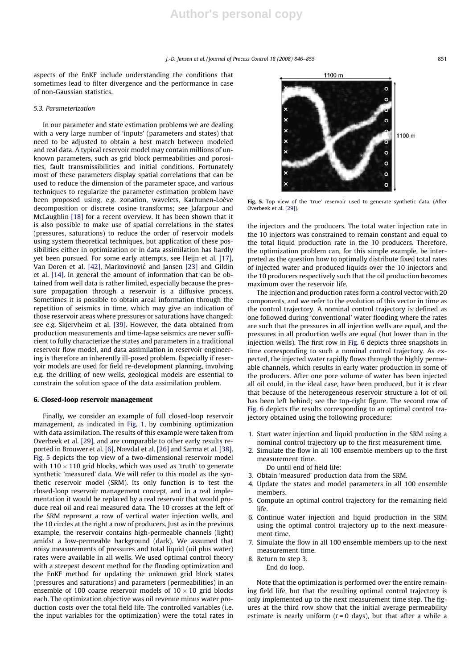aspects of the EnKF include understanding the conditions that sometimes lead to filter divergence and the performance in case of non-Gaussian statistics.

#### 5.3. Parameterization

In our parameter and state estimation problems we are dealing with a very large number of 'inputs' (parameters and states) that need to be adjusted to obtain a best match between modeled and real data. A typical reservoir model may contain millions of unknown parameters, such as grid block permeabilities and porosities, fault transmissibilities and initial conditions. Fortunately most of these parameters display spatial correlations that can be used to reduce the dimension of the parameter space, and various techniques to regularize the parameter estimation problem have been proposed using, e.g. zonation, wavelets, Karhunen-Loève decomposition or discrete cosine transforms; see Jafarpour and McLaughlin [18] for a recent overview. It has been shown that it is also possible to make use of spatial correlations in the states (pressures, saturations) to reduce the order of reservoir models using system theoretical techniques, but application of these possibilities either in optimization or in data assimilation has hardly yet been pursued. For some early attempts, see Heijn et al. [17], Van Doren et al. [42], Markovinović and Jansen [23] and Gildin et al. [14]. In general the amount of information that can be obtained from well data is rather limited, especially because the pressure propagation through a reservoir is a diffusive process. Sometimes it is possible to obtain areal information through the repetition of seismics in time, which may give an indication of those reservoir areas where pressures or saturations have changed; see e.g. Skjervheim et al. [39]. However, the data obtained from production measurements and time-lapse seismics are never sufficient to fully characterize the states and parameters in a traditional reservoir flow model, and data assimilation in reservoir engineering is therefore an inherently ill-posed problem. Especially if reservoir models are used for field re-development planning, involving e.g. the drilling of new wells, geological models are essential to constrain the solution space of the data assimilation problem.

## 6. Closed-loop reservoir management

Finally, we consider an example of full closed-loop reservoir management, as indicated in Fig. 1, by combining optimization with data assimilation. The results of this example were taken from Overbeek et al. [29], and are comparable to other early results reported in Brouwer et al. [6], Nævdal et al. [26] and Sarma et al. [38]. Fig. 5 depicts the top view of a two-dimensional reservoir model with 110  $\times$  110 grid blocks, which was used as 'truth' to generate synthetic 'measured' data. We will refer to this model as the synthetic reservoir model (SRM). Its only function is to test the closed-loop reservoir management concept, and in a real implementation it would be replaced by a real reservoir that would produce real oil and real measured data. The 10 crosses at the left of the SRM represent a row of vertical water injection wells, and the 10 circles at the right a row of producers. Just as in the previous example, the reservoir contains high-permeable channels (light) amidst a low-permeable background (dark). We assumed that noisy measurements of pressures and total liquid (oil plus water) rates were available in all wells. We used optimal control theory with a steepest descent method for the flooding optimization and the EnKF method for updating the unknown grid block states (pressures and saturations) and parameters (permeabilities) in an ensemble of 100 coarse reservoir models of 10  $\times$  10 grid blocks each. The optimization objective was oil revenue minus water production costs over the total field life. The controlled variables (i.e. the input variables for the optimization) were the total rates in



Fig. 5. Top view of the 'true' reservoir used to generate synthetic data. (After Overbeek et al. [29]).

the injectors and the producers. The total water injection rate in the 10 injectors was constrained to remain constant and equal to the total liquid production rate in the 10 producers. Therefore, the optimization problem can, for this simple example, be interpreted as the question how to optimally distribute fixed total rates of injected water and produced liquids over the 10 injectors and the 10 producers respectively such that the oil production becomes maximum over the reservoir life.

The injection and production rates form a control vector with 20 components, and we refer to the evolution of this vector in time as the control trajectory. A nominal control trajectory is defined as one followed during 'conventional' water flooding where the rates are such that the pressures in all injection wells are equal, and the pressures in all production wells are equal (but lower than in the injection wells). The first row in Fig. 6 depicts three snapshots in time corresponding to such a nominal control trajectory. As expected, the injected water rapidly flows through the highly permeable channels, which results in early water production in some of the producers. After one pore volume of water has been injected all oil could, in the ideal case, have been produced, but it is clear that because of the heterogeneous reservoir structure a lot of oil has been left behind; see the top-right figure. The second row of Fig. 6 depicts the results corresponding to an optimal control trajectory obtained using the following procedure:

- 1. Start water injection and liquid production in the SRM using a nominal control trajectory up to the first measurement time.
- 2. Simulate the flow in all 100 ensemble members up to the first measurement time.
	- Do until end of field life:
- 3. Obtain 'measured' production data from the SRM.
- 4. Update the states and model parameters in all 100 ensemble members.
- 5. Compute an optimal control trajectory for the remaining field life.
- 6. Continue water injection and liquid production in the SRM using the optimal control trajectory up to the next measurement time.
- 7. Simulate the flow in all 100 ensemble members up to the next measurement time.
- 8. Return to step 3.
	- End do loop.

Note that the optimization is performed over the entire remaining field life, but that the resulting optimal control trajectory is only implemented up to the next measurement time step. The figures at the third row show that the initial average permeability estimate is nearly uniform  $(t = 0$  days), but that after a while a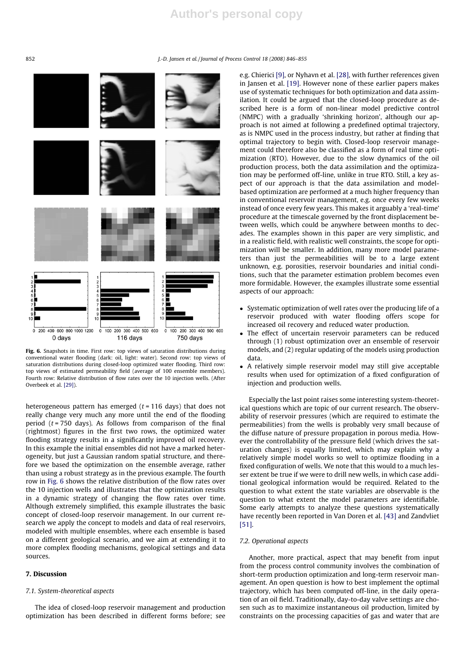852 J.-D. Jansen et al. / Journal of Process Control 18 (2008) 846–855



Fig. 6. Snapshots in time. First row: top views of saturation distributions during conventional water flooding (dark: oil, light: water). Second row: top views of saturation distributions during closed-loop optimized water flooding. Third row: top views of estimated permeability field (average of 100 ensemble members). Fourth row: Relative distribution of flow rates over the 10 injection wells. (After Overbeek et al. [29]).

heterogeneous pattern has emerged ( $t = 116$  days) that does not really change very much any more until the end of the flooding period ( $t = 750$  days). As follows from comparison of the final (rightmost) figures in the first two rows, the optimized water flooding strategy results in a significantly improved oil recovery. In this example the initial ensembles did not have a marked heterogeneity, but just a Gaussian random spatial structure, and therefore we based the optimization on the ensemble average, rather than using a robust strategy as in the previous example. The fourth row in Fig. 6 shows the relative distribution of the flow rates over the 10 injection wells and illustrates that the optimization results in a dynamic strategy of changing the flow rates over time. Although extremely simplified, this example illustrates the basic concept of closed-loop reservoir management. In our current research we apply the concept to models and data of real reservoirs, modeled with multiple ensembles, where each ensemble is based on a different geological scenario, and we aim at extending it to more complex flooding mechanisms, geological settings and data sources.

# 7. Discussion

## 7.1. System-theoretical aspects

The idea of closed-loop reservoir management and production optimization has been described in different forms before; see

e.g. Chierici [9], or Nyhavn et al. [28], with further references given in Jansen et al. [19]. However none of these earlier papers makes use of systematic techniques for both optimization and data assimilation. It could be argued that the closed-loop procedure as described here is a form of non-linear model predictive control (NMPC) with a gradually 'shrinking horizon', although our approach is not aimed at following a predefined optimal trajectory, as is NMPC used in the process industry, but rather at finding that optimal trajectory to begin with. Closed-loop reservoir management could therefore also be classified as a form of real time optimization (RTO). However, due to the slow dynamics of the oil production process, both the data assimilation and the optimization may be performed off-line, unlike in true RTO. Still, a key aspect of our approach is that the data assimilation and modelbased optimization are performed at a much higher frequency than in conventional reservoir management, e.g. once every few weeks instead of once every few years. This makes it arguably a 'real-time' procedure at the timescale governed by the front displacement between wells, which could be anywhere between months to decades. The examples shown in this paper are very simplistic, and in a realistic field, with realistic well constraints, the scope for optimization will be smaller. In addition, many more model parameters than just the permeabilities will be to a large extent unknown, e.g. porosities, reservoir boundaries and initial conditions, such that the parameter estimation problem becomes even more formidable. However, the examples illustrate some essential aspects of our approach:

- Systematic optimization of well rates over the producing life of a reservoir produced with water flooding offers scope for increased oil recovery and reduced water production.
- The effect of uncertain reservoir parameters can be reduced through (1) robust optimization over an ensemble of reservoir models, and (2) regular updating of the models using production data.
- A relatively simple reservoir model may still give acceptable results when used for optimization of a fixed configuration of injection and production wells.

Especially the last point raises some interesting system-theoretical questions which are topic of our current research. The observability of reservoir pressures (which are required to estimate the permeabilities) from the wells is probably very small because of the diffuse nature of pressure propagation in porous media. However the controllability of the pressure field (which drives the saturation changes) is equally limited, which may explain why a relatively simple model works so well to optimize flooding in a fixed configuration of wells. We note that this would to a much lesser extent be true if we were to drill new wells, in which case additional geological information would be required. Related to the question to what extent the state variables are observable is the question to what extent the model parameters are identifiable. Some early attempts to analyze these questions systematically have recently been reported in Van Doren et al. [43] and Zandvliet [51].

#### 7.2. Operational aspects

Another, more practical, aspect that may benefit from input from the process control community involves the combination of short-term production optimization and long-term reservoir management. An open question is how to best implement the optimal trajectory, which has been computed off-line, in the daily operation of an oil field. Traditionally, day-to-day valve settings are chosen such as to maximize instantaneous oil production, limited by constraints on the processing capacities of gas and water that are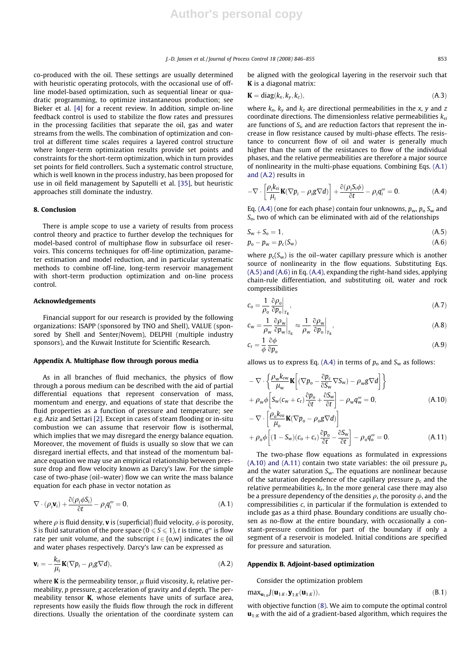co-produced with the oil. These settings are usually determined with heuristic operating protocols, with the occasional use of offline model-based optimization, such as sequential linear or quadratic programming, to optimize instantaneous production; see Bieker et al. [4] for a recent review. In addition, simple on-line feedback control is used to stabilize the flow rates and pressures in the processing facilities that separate the oil, gas and water streams from the wells. The combination of optimization and control at different time scales requires a layered control structure where longer-term optimization results provide set points and constraints for the short-term optimization, which in turn provides set points for field controllers. Such a systematic control structure, which is well known in the process industry, has been proposed for use in oil field management by Saputelli et al. [35], but heuristic approaches still dominate the industry.

## 8. Conclusion

There is ample scope to use a variety of results from process control theory and practice to further develop the techniques for model-based control of multiphase flow in subsurface oil reservoirs. This concerns techniques for off-line optimization, parameter estimation and model reduction, and in particular systematic methods to combine off-line, long-term reservoir management with short-term production optimization and on-line process control.

# Acknowledgements

Financial support for our research is provided by the following organizations: ISAPP (sponsored by TNO and Shell), VALUE (sponsored by Shell and Senter/Novem), DELPHI (multiple industry sponsors), and the Kuwait Institute for Scientific Research.

# Appendix A. Multiphase flow through porous media

As in all branches of fluid mechanics, the physics of flow through a porous medium can be described with the aid of partial differential equations that represent conservation of mass, momentum and energy, and equations of state that describe the fluid properties as a function of pressure and temperature; see e.g. Aziz and Settari [2]. Except in cases of steam flooding or in-situ combustion we can assume that reservoir flow is isothermal, which implies that we may disregard the energy balance equation. Moreover, the movement of fluids is usually so slow that we can disregard inertial effects, and that instead of the momentum balance equation we may use an empirical relationship between pressure drop and flow velocity known as Darcy's law. For the simple case of two-phase (oil–water) flow we can write the mass balance equation for each phase in vector notation as

$$
\nabla \cdot (\rho_i \mathbf{v}_i) + \frac{\partial (\rho_i \phi \mathbf{S}_i)}{\partial t} - \rho_i \mathbf{q}_i^{\prime\prime\prime} = \mathbf{0},\tag{A.1}
$$

where  $\rho$  is fluid density, **v** is (superficial) fluid velocity,  $\phi$  is porosity, S is fluid saturation of the pore space ( $0 \le S \le 1$ ), t is time, q<sup>no</sup> is flow rate per unit volume, and the subscript  $i \in \{o,w\}$  indicates the oil and water phases respectively. Darcy's law can be expressed as

$$
\mathbf{v}_i = -\frac{k_{ri}}{\mu_i} \mathbf{K} (\nabla p_i - \rho_i g \nabla d), \tag{A.2}
$$

where **K** is the permeability tensor,  $\mu$  fluid viscosity,  $k_r$  relative permeability, p pressure, g acceleration of gravity and d depth. The permeability tensor **K**, whose elements have units of surface area, represents how easily the fluids flow through the rock in different directions. Usually the orientation of the coordinate system can be aligned with the geological layering in the reservoir such that K is a diagonal matrix:

$$
\mathbf{K} = \text{diag}(k_x, k_y, k_z),\tag{A.3}
$$

where  $k_x$ ,  $k_y$  and  $k_z$  are directional permeabilities in the x, y and z coordinate directions. The dimensionless relative permeabilities  $k_{ri}$ are functions of  $S_i$ , and are reduction factors that represent the increase in flow resistance caused by multi-phase effects. The resistance to concurrent flow of oil and water is generally much higher than the sum of the resistances to flow of the individual phases, and the relative permeabilities are therefore a major source of nonlinearity in the multi-phase equations. Combining Eqs. (A.1) and (A.2) results in

$$
-\nabla \cdot \left[\frac{\rho_i k_{ri}}{\mu_i} \mathbf{K}(\nabla p_i - \rho_i g \nabla d)\right] + \frac{\partial (\rho_i S_i \phi)}{\partial t} - \rho_i q_i''' = 0.
$$
 (A.4)

Eq. (A.4) (one for each phase) contain four unknowns,  $p_w$ ,  $p_o$  S<sub>w</sub> and  $S<sub>o</sub>$ , two of which can be eliminated with aid of the relationships

$$
S_w + S_o = 1,\tag{A.5}
$$

$$
p_{o} - p_{w} = p_{c}(S_{w})
$$
\n<sup>(A.6)</sup>

where  $p_c(S_w)$  is the oil–water capillary pressure which is another source of nonlinearity in the flow equations. Substituting Eqs. (A.5) and (A.6) in Eq. (A.4), expanding the right-hand sides, applying chain-rule differentiation, and substituting oil, water and rock compressibilities

$$
c_{o} = \frac{1}{\rho_{o}} \frac{\partial \rho_{o}}{\partial p_{o}} \Big|_{T_{R}}, \tag{A.7}
$$

$$
c_{\rm w} = \frac{1}{\rho_{\rm w}} \frac{\partial \rho_{\rm w}}{\partial p_{\rm w}}\bigg|_{T_{\rm R}} \approx \frac{1}{\rho_{\rm w}} \frac{\partial \rho_{\rm w}}{\partial p_{\rm o}}\bigg|_{T_{\rm R}},\tag{A.8}
$$

$$
c_{\rm r} = \frac{1}{\phi} \frac{\partial \phi}{\partial p_{\rm o}} \tag{A.9}
$$

allows us to express Eq. (A.4) in terms of  $p_0$  and  $S_w$  as follows:

$$
- \nabla \cdot \left\{ \frac{\rho_w k_{rw}}{\mu_w} \mathbf{K} \left[ (\nabla p_o - \frac{\partial p_c}{\partial S_w} \nabla S_w) - \rho_w g \nabla d \right] \right\}
$$
  
+  $\rho_w \phi \left[ S_w (c_w + c_r) \frac{\partial p_o}{\partial t} + \frac{\partial S_w}{\partial t} \right] - \rho_w q_w'' = 0,$  (A.10)

$$
- \nabla \cdot \left[ \frac{\rho_0 k_{\text{ro}}}{\mu_0} \mathbf{K} (\nabla p_0 - \rho_0 g \nabla d) \right] + \rho_0 \phi \left[ (1 - S_w)(c_0 + c_r) \frac{\partial p_0}{\partial t} - \frac{\partial S_w}{\partial t} \right] - \rho_0 q_0''' = 0.
$$
 (A.11)

The two-phase flow equations as formulated in expressions (A.10) and (A.11) contain two state variables: the oil pressure  $p_0$ and the water saturation  $S_w$ . The equations are nonlinear because of the saturation dependence of the capillary pressure  $p_c$  and the relative permeabilities  $k_r$ . In the more general case there may also be a pressure dependency of the densities  $\rho$ , the porosity  $\phi$ , and the compressibilities c, in particular if the formulation is extended to include gas as a third phase. Boundary conditions are usually chosen as no-flow at the entire boundary, with occasionally a constant-pressure condition for part of the boundary if only a segment of a reservoir is modeled. Initial conditions are specified for pressure and saturation.

## Appendix B. Adjoint-based optimization

Consider the optimization problem

$$
\max_{\mathbf{u}_{1:K}} J(\mathbf{u}_{1:K}, \mathbf{y}_{1:K}(\mathbf{u}_{1:K})),
$$
\n(B.1)

with objective function (8). We aim to compute the optimal control  $\mathbf{u}_{1:K}$  with the aid of a gradient-based algorithm, which requires the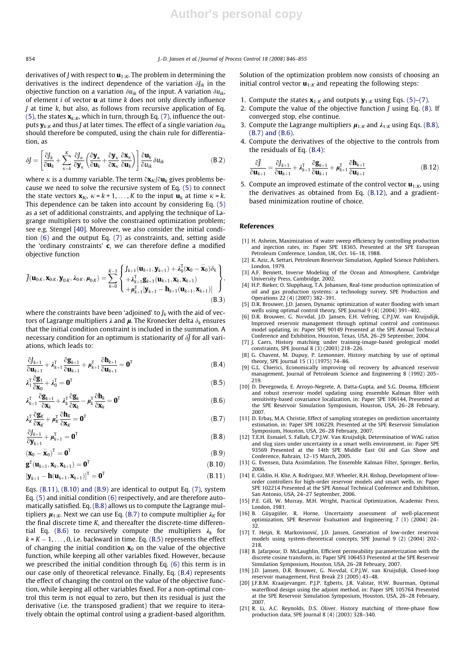derivatives of *J* with respect to  $\mathbf{u}_{1:K}$ . The problem in determining the derivatives is the indirect dependence of the variation  $\delta J_{ik}$  in the objective function on a variation  $\delta u_{ik}$  of the input. A variation  $\delta u_{ik}$ , of element  $i$  of vector  $\bf{u}$  at time  $k$  does not only directly influence J at time k, but also, as follows from recursive application of Eq. (5), the states  $\mathbf{x}_{k:K}$ , which in turn, through Eq. (7), influence the outputs  $\mathbf{y}_{k:K}$  and thus *J* at later times. The effect of a single variation  $\delta u_{ik}$ should therefore be computed, using the chain rule for differentiation, as

$$
\delta J = \left[ \frac{\partial J_k}{\partial \mathbf{u}_k} + \sum_{\kappa=k}^K \frac{\partial J_\kappa}{\partial \mathbf{y}_\kappa} \left( \frac{\partial \mathbf{y}_\kappa}{\partial \mathbf{u}_k} + \frac{\partial \mathbf{y}_\kappa}{\partial \mathbf{x}_\kappa} \frac{\partial \mathbf{x}_\kappa}{\partial \mathbf{u}_k} \right) \right] \frac{\partial \mathbf{u}_k}{\partial u_{ik}} \delta u_{ik}
$$
(B.2)

where  $\kappa$  is a dummy variable. The term  $\partial \mathbf{x}_{\kappa}/\partial \mathbf{u}_{k}$  gives problems because we need to solve the recursive system of Eq. (5) to connect the state vectors  $\mathbf{x}_{k}$ ,  $k = k + 1, \ldots, K$  to the input  $\mathbf{u}_{k}$  at time  $k = k$ . This dependence can be taken into account by considering Eq. (5) as a set of additional constraints, and applying the technique of Lagrange multipliers to solve the constrained optimization problem; see e.g. Stengel [40]. Moreover, we also consider the initial condition (6) and the output Eq. (7) as constraints, and, setting aside the 'ordinary constraints' c, we can therefore define a modified objective function

$$
\bar{J}(\mathbf{u}_{0:K}, \mathbf{x}_{0:K}, \mathbf{y}_{0:K}, \lambda_{0:K}, \mu_{0:K}) = \sum_{k=0}^{K-1} \begin{Bmatrix} J_{k+1}(\mathbf{u}_{k+1}, \mathbf{y}_{k+1}) + \lambda_0^T(\mathbf{x}_0 - \mathbf{x}_0) \delta_k \\ + \lambda_{k+1}^T \mathbf{g}_{k+1}(\mathbf{u}_{k+1}, \mathbf{x}_k, \mathbf{x}_{k+1}) \\ + \mu_{k+1}^T [\mathbf{y}_{k+1} - \mathbf{h}_{k+1}(\mathbf{u}_{k+1}, \mathbf{x}_{k+1})] \end{Bmatrix},
$$
\n(B.3)

where the constraints have been 'adjoined' to  $J_k$  with the aid of vectors of Lagrange multipliers  $\lambda$  and  $\mu$ . The Kronecker delta  $\delta_k$  ensures that the initial condition constraint is included in the summation. A necessary condition for an optimum is stationarity of  $\delta$ *J* for all variations, which leads to:

$$
\frac{\partial J_{k+1}}{\partial \mathbf{u}_{k+1}} + \lambda_{k+1}^{\mathrm{T}} \frac{\partial \mathbf{g}_{k+1}}{\partial \mathbf{u}_{k+1}} + \mu_{k+1}^{\mathrm{T}} \frac{\partial \mathbf{h}_{k+1}}{\partial \mathbf{u}_{k+1}} = \mathbf{0}^{\mathrm{T}}
$$
(B.4)

$$
\lambda_1^T \frac{\partial \mathbf{g}_1}{\partial \mathbf{x}_0} + \lambda_0^T = \mathbf{0}^T
$$
 (B.5)

$$
\lambda_{k+1}^{\mathrm{T}} \frac{\partial \mathbf{g}_{k+1}}{\partial \mathbf{x}_k} + \lambda_k^{\mathrm{T}} \frac{\partial \mathbf{g}_k}{\partial \mathbf{x}_k} - \mu_k^{\mathrm{T}} \frac{\partial \mathbf{h}_k}{\partial \mathbf{x}_k} = \mathbf{0}^{\mathrm{T}}
$$
(B.6)

$$
\lambda_K^{\mathrm{T}} \frac{\partial \mathbf{g}_K}{\partial \mathbf{x}_K} + \mu_K^{\mathrm{T}} \frac{\partial \mathbf{h}_K}{\partial \mathbf{x}_K} = \mathbf{0}^{\mathrm{T}}
$$
(B.7)

$$
\frac{\partial J_{k+1}}{\partial \mathbf{y}_{k+1}} + \mu_{k+1}^{\mathrm{T}} = \mathbf{0}^{\mathrm{T}}
$$
(B.8)

$$
(\mathbf{x}_0 - \mathbf{x}_0)^{\mathrm{T}} = \mathbf{0}^{\mathrm{T}}
$$
 (B.9)

$$
\mathbf{g}^{\mathrm{T}}(\mathbf{u}_{k+1}, \mathbf{x}_k, \mathbf{x}_{k+1}) = \mathbf{0}^{\mathrm{T}}
$$
(B.10)

$$
\left[\mathbf{y}_{k+1} - \mathbf{h}(\mathbf{u}_{k+1}, \mathbf{x}_{k+1})\right]^{\mathrm{T}} = \mathbf{0}^{\mathrm{T}}
$$
\n(B.11)

Eqs. (B.11), (B.10) and (B.9) are identical to output Eq. (7), system Eq. (5) and initial condition (6) respectively, and are therefore automatically satisfied. Eq. (B.8) allows us to compute the Lagrange multipliers  $\mu_{1:K}$ . Next we can use Eq. (B.7) to compute multiplier  $\lambda_K$  for the final discrete time K, and thereafter the discrete-time differential Eq. (B.6) to recursively compute the multipliers  $\lambda_k$  for  $k = K - 1, \ldots, 0$ , i.e. backward in time. Eq. (B.5) represents the effect of changing the initial condition  $x_0$  on the value of the objective function, while keeping all other variables fixed. However, because we prescribed the initial condition through Eq. (6) this term is in our case only of theoretical relevance. Finally, Eq. (B.4) represents the effect of changing the control on the value of the objective function, while keeping all other variables fixed. For a non-optimal control this term is not equal to zero, but then its residual is just the derivative (i.e. the transposed gradient) that we require to iteratively obtain the optimal control using a gradient-based algorithm.

Solution of the optimization problem now consists of choosing an initial control vector  $\mathbf{u}_{1:K}$  and repeating the following steps:

- 1. Compute the states  $\mathbf{x}_{1:K}$  and outputs  $\mathbf{y}_{1:K}$  using Eqs. (5)–(7).
- 2. Compute the value of the objective function  $J$  using Eq. (8). If converged stop, else continue.
- 3. Compute the Lagrange multipliers  $\mu_{1:K}$  and  $\lambda_{1:K}$  using Eqs. (B.8), (B.7) and (B.6).
- 4. Compute the derivatives of the objective to the controls from the residuals of Eq. (B.4):

$$
\frac{\partial \overline{J}}{\partial \mathbf{u}_{k+1}} = \frac{\partial J_{k+1}}{\partial \mathbf{u}_{k+1}} + \lambda_{k+1}^{\mathrm{T}} \frac{\partial \mathbf{g}_{k+1}}{\partial \mathbf{u}_{k+1}} + \mu_{k+1}^{\mathrm{T}} \frac{\partial \mathbf{h}_{k+1}}{\partial \mathbf{u}_{k+1}}
$$
(B.12)

5. Compute an improved estimate of the control vector  $\mathbf{u}_{1:K}$ , using the derivatives as obtained from Eq. (B.12), and a gradientbased minimization routine of choice.

## References

- [1] H. Asheim, Maximization of water sweep efficiency by controlling production and injection rates, in: Paper SPE 18365, Presented at the SPE European Petroleum Conference, London, UK, Oct. 16–18, 1988.
- [2] K. Aziz, A. Settari, Petroleum Reservoir Simulation, Applied Science Publishers, London, 1979.
- [3] A.F. Bennett, Inverse Modeling of the Ocean and Atmosphere, Cambridge University Press, Cambridge, 2002.
- [4] H.P. Bieker, O. Slupphaug, T.A. Johansen, Real-time production optimization of oil and gas production systems: a technology survey, SPE Production and Operations 22 (4) (2007) 382–391.
- [5] D.R. Brouwer, J.D. Jansen, Dynamic optimization of water flooding with smart wells using optimal control theory, SPE Journal 9 (4) (2004) 391–402.
- [6] D.R. Brouwer, G. Nævdal, J.D. Jansen, E.H. Vefring, C.P.J.W. van Kruijsdijk, Improved reservoir management through optimal control and continuous model updating, in: Paper SPE 90149 Presented at the SPE Annual Technical Conference and Exhibition, Houston, Texas, USA, 26–29 September, 2004.
- [7] J. Caers, History matching under training-image-based geological model constraints, SPE Journal 8 (3) (2003) 218–226.
- [8] G. Chavent, M. Dupuy, P. Lemonnier, History matching by use of optimal theory, SPE Journal 15 (1) (1975) 74–86.
- [9] G.L. Chierici, Economically improving oil recovery by advanced reservoir management, Journal of Petroleum Science and Engineering 8 (1992) 205– 219.
- [10] D. Devegowda, E. Arroyo-Negrete, A. Datta-Gupta, and S.G. Douma, Efficient and robust reservoir model updating using ensemble Kalman filter with sensitivity-based covariance localization, in: Paper SPE 106144, Presented at the SPE Reservoir Simulation Symposium, Houston, USA, 26–28 February, 2007.
- [11] D. Erbaş, M.A. Christie, Effect of sampling strategies on prediction uncertainty estimation, in: Paper SPE 106229, Presented at the SPE Reservoir Simulation Symposium, Houston, USA, 26–28 February, 2007.
- [12] T.E.H. Esmaiel, S. Fallah, C.P.J.W. Van Kruijsdijk, Determination of WAG ratios and slug sizes under uncertainty in a smart wells environment, in: Paper SPE 93569 Presented at the 14th SPE Middle East Oil and Gas Show and Conference, Bahrain, 12–15 March, 2005.
- [13] G. Evensen, Data Assimilation. The Ensemble Kalman Filter, Springer, Berlin, 2006.
- [14] E. Gildin, H. Klie, A. Rodriguez, M.F. Wheeler, R.H. Bishop, Development of loworder controllers for high-order reservoir models and smart wells, in: Paper SPE 102214 Presented at the SPE Annual Technical Conference and Exhibition, San Antonio, USA, 24–27 September, 2006.
- [15] P.E. Gill, W. Murray, M.H. Wright, Practical Optimization, Academic Press, London, 1981.
- [16] B. Güyagüler, R. Horne, Uncertainty assessment of well-placement optimization, SPE Reservoir Evaluation and Engineering 7 (1) (2004) 24-32.
- [17] T. Heijn, R. Markovinović, J.D. Jansen, Generation of low-order reservoir models using system-theoretical concepts, SPE Journal 9 (2) (2004) 202– 218.
- [18] B. Jafarpour, D. McLaughlin, Efficient permeability parameterization with the discrete cosine transform, in: Paper SPE 106453 Presented at the SPE Reservoir Simulation Symposium, Houston, USA, 26–28 February, 2007.
- [19] J.D. Jansen, D.R. Brouwer, G. Nævdal, C.P.J.W. van Kruijsdijk, Closed-loop reservoir management, First Break 23 (2005) 43–48.
- [20] J.F.B.M. Kraaijevanger, P.J.P. Egberts, J.R. Valstar, H.W. Buurman, Optimal waterflood design using the adjoint method, in: Paper SPE 105764 Presented at the SPE Reservoir Simulation Symposium, Houston, USA, 26–28 February, 2007.
- [21] R. Li, A.C. Reynolds, D.S. Oliver, History matching of three-phase flow production data, SPE Journal 8 (4) (2003) 328–340.